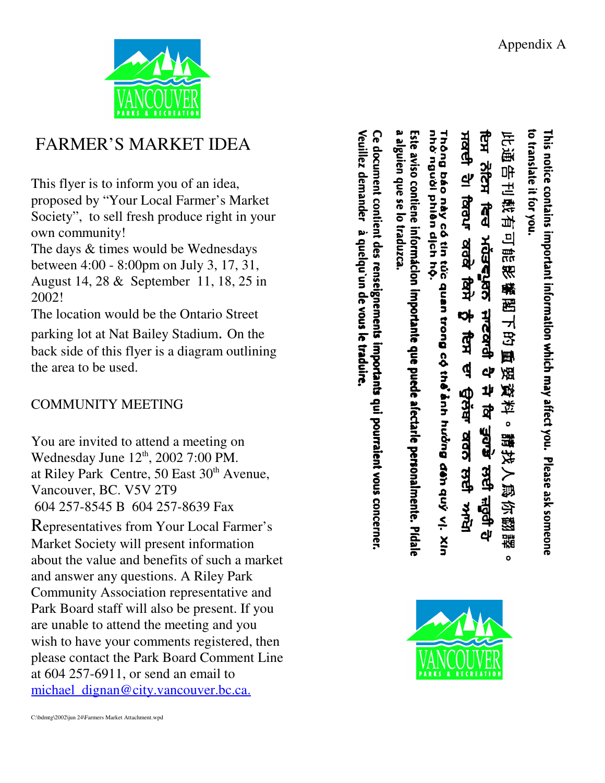Appendix A

to translate it for you.

此通告刊载有可能影

精密可否则

谣 燃

।<br>⊉

 $\bullet$ 

請找人爲

经型

謡

This notice contains important infect you. Please ask someone



## FARMER'S MARKET IDEA

This flyer is to inform you of an idea, proposed by "Your Local Farmer's Market Society", to sell fresh produce right in your own community!

The days & times would be Wednesdays between 4:00 - 8:00pm on July 3, 17, 31,

August 14, 28 & September 11, 18, 25 in 2002!

The location would be the Ontario Street

parking lot at Nat Bailey Stadium. On the back side of this flyer is a diagram outlining the area to be used.

## COMMUNITY MEETING

You are invited to attend a meeting on Wednesday June 12<sup>th</sup>, 2002 7:00 PM. at Riley Park Centre, 50 East 30<sup>th</sup> Avenue, Vancouver, BC. V5V 2T9 604 257-8545 B 604 257-8639 Fax

Representatives from Your Local Farmer's Market Society will present information about the value and benefits of such a market and answer any questions. A Riley Park Community Association representative and Park Board staff will also be present. If you are unable to attend the meeting and you wish to have your comments registered, then please contact the Park Board Comment Line at 604 257-6911, or send an email to michael\_dignan@city.vancouver.bc.ca.



nhờ nguời phiên dịch hộ.

alguien que se lo traduzca

ਇਸ

**21242** 

 $\vec{a}$ 

**AGSERSS** 

**HASSTER** 

අ

봐

<u>व</u>

ਤੁਹਾਡਾ ਲਾਈ ਜ਼ਰੂਰੀ

ਸਕਦੀ

31 faau

**Add** 

ਕਿਸੇ

**v** 

**FER** 

₫

चेलंब

ਕਰਨ ਲਈ

स्रोत

Veuillez demander à quelqu'un de vous le traduire

Ce document contient des renseignements importants qui pourraient vous concerner.

Este aviso contiene informácion importante que puede afectarle personalmente. Pidale

Thông báo này có tin túc quan trong cộ thể ảnh hưởng đến quỳ vị. Xin